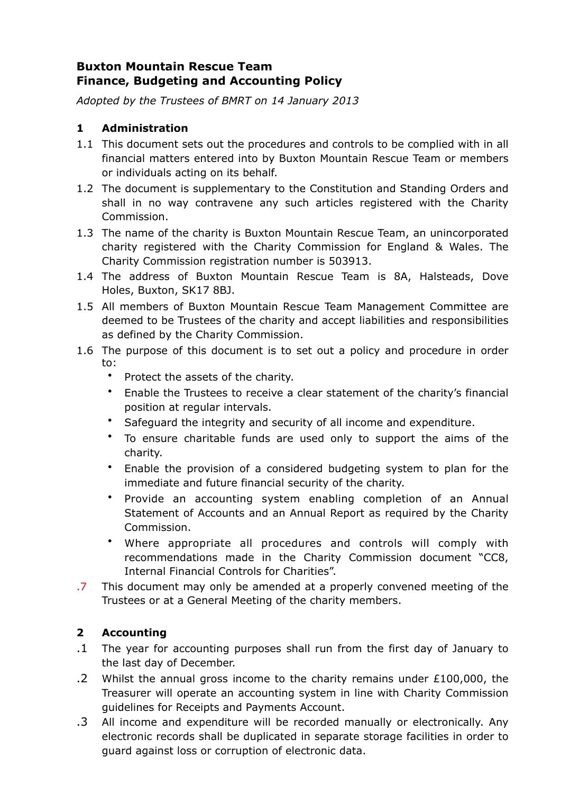# **Buxton Mountain Rescue Team Finance, Budgeting and Accounting Policy**

*Adopted by the Trustees of BMRT on 14 January 2013*

# **1 Administration**

- 1.1 This document sets out the procedures and controls to be complied with in all financial matters entered into by Buxton Mountain Rescue Team or members or individuals acting on its behalf.
- 1.2 The document is supplementary to the Constitution and Standing Orders and shall in no way contravene any such articles registered with the Charity Commission.
- 1.3 The name of the charity is Buxton Mountain Rescue Team, an unincorporated charity registered with the Charity Commission for England & Wales. The Charity Commission registration number is 503913.
- 1.4 The address of Buxton Mountain Rescue Team is 8A, Halsteads, Dove Holes, Buxton, SK17 8BJ.
- 1.5 All members of Buxton Mountain Rescue Team Management Committee are deemed to be Trustees of the charity and accept liabilities and responsibilities as defined by the Charity Commission.
- 1.6 The purpose of this document is to set out a policy and procedure in order to:
	- Protect the assets of the charity.
	- Enable the Trustees to receive a clear statement of the charity's financial position at regular intervals.
	- Safeguard the integrity and security of all income and expenditure.
	- To ensure charitable funds are used only to support the aims of the charity.
	- Enable the provision of a considered budgeting system to plan for the immediate and future financial security of the charity.
	- Provide an accounting system enabling completion of an Annual Statement of Accounts and an Annual Report as required by the Charity Commission.
	- Where appropriate all procedures and controls will comply with recommendations made in the Charity Commission document "CC8, Internal Financial Controls for Charities".
- .7 This document may only be amended at a properly convened meeting of the Trustees or at a General Meeting of the charity members.

## **2 Accounting**

- .1 The year for accounting purposes shall run from the first day of January to the last day of December.
- .2 Whilst the annual gross income to the charity remains under  $£100,000$ , the Treasurer will operate an accounting system in line with Charity Commission guidelines for Receipts and Payments Account.
- .3 All income and expenditure will be recorded manually or electronically. Any electronic records shall be duplicated in separate storage facilities in order to guard against loss or corruption of electronic data.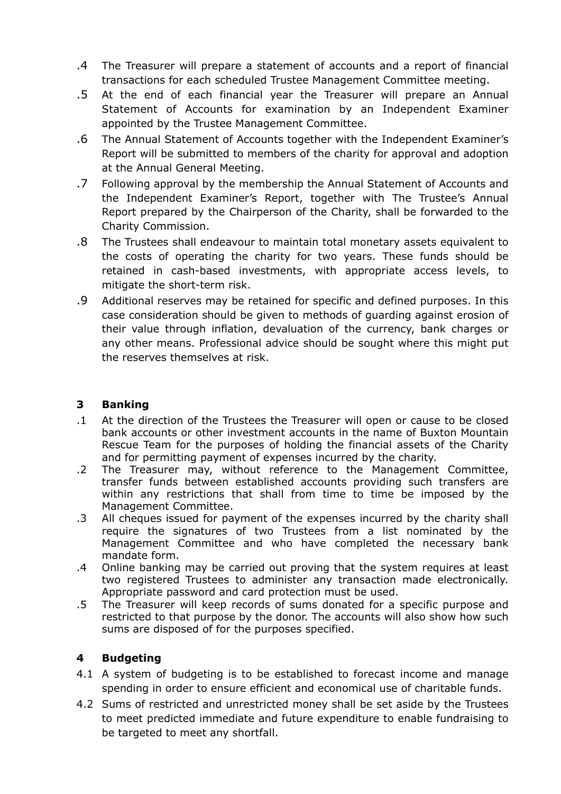- .4 The Treasurer will prepare a statement of accounts and a report of financial transactions for each scheduled Trustee Management Committee meeting.
- .5 At the end of each financial year the Treasurer will prepare an Annual Statement of Accounts for examination by an Independent Examiner appointed by the Trustee Management Committee.
- .6 The Annual Statement of Accounts together with the Independent Examiner's Report will be submitted to members of the charity for approval and adoption at the Annual General Meeting.
- .7 Following approval by the membership the Annual Statement of Accounts and the Independent Examiner's Report, together with The Trustee's Annual Report prepared by the Chairperson of the Charity, shall be forwarded to the Charity Commission.
- .8 The Trustees shall endeavour to maintain total monetary assets equivalent to the costs of operating the charity for two years. These funds should be retained in cash-based investments, with appropriate access levels, to mitigate the short-term risk.
- .9 Additional reserves may be retained for specific and defined purposes. In this case consideration should be given to methods of guarding against erosion of their value through inflation, devaluation of the currency, bank charges or any other means. Professional advice should be sought where this might put the reserves themselves at risk.

#### **3 Banking**

- .1 At the direction of the Trustees the Treasurer will open or cause to be closed bank accounts or other investment accounts in the name of Buxton Mountain Rescue Team for the purposes of holding the financial assets of the Charity and for permitting payment of expenses incurred by the charity.
- .2 The Treasurer may, without reference to the Management Committee, transfer funds between established accounts providing such transfers are within any restrictions that shall from time to time be imposed by the Management Committee.
- .3 All cheques issued for payment of the expenses incurred by the charity shall require the signatures of two Trustees from a list nominated by the Management Committee and who have completed the necessary bank mandate form.
- .4 Online banking may be carried out proving that the system requires at least two registered Trustees to administer any transaction made electronically. Appropriate password and card protection must be used.
- .5 The Treasurer will keep records of sums donated for a specific purpose and restricted to that purpose by the donor. The accounts will also show how such sums are disposed of for the purposes specified.

## **4 Budgeting**

- 4.1 A system of budgeting is to be established to forecast income and manage spending in order to ensure efficient and economical use of charitable funds.
- 4.2 Sums of restricted and unrestricted money shall be set aside by the Trustees to meet predicted immediate and future expenditure to enable fundraising to be targeted to meet any shortfall.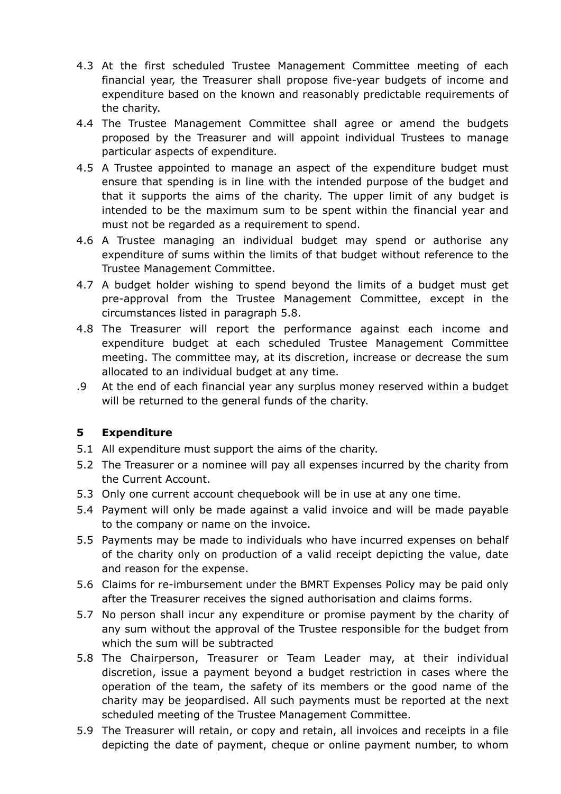- 4.3 At the first scheduled Trustee Management Committee meeting of each financial year, the Treasurer shall propose five-year budgets of income and expenditure based on the known and reasonably predictable requirements of the charity.
- 4.4 The Trustee Management Committee shall agree or amend the budgets proposed by the Treasurer and will appoint individual Trustees to manage particular aspects of expenditure.
- 4.5 A Trustee appointed to manage an aspect of the expenditure budget must ensure that spending is in line with the intended purpose of the budget and that it supports the aims of the charity. The upper limit of any budget is intended to be the maximum sum to be spent within the financial year and must not be regarded as a requirement to spend.
- 4.6 A Trustee managing an individual budget may spend or authorise any expenditure of sums within the limits of that budget without reference to the Trustee Management Committee.
- 4.7 A budget holder wishing to spend beyond the limits of a budget must get pre-approval from the Trustee Management Committee, except in the circumstances listed in paragraph 5.8.
- 4.8 The Treasurer will report the performance against each income and expenditure budget at each scheduled Trustee Management Committee meeting. The committee may, at its discretion, increase or decrease the sum allocated to an individual budget at any time.
- .9 At the end of each financial year any surplus money reserved within a budget will be returned to the general funds of the charity.

## **5 Expenditure**

- 5.1 All expenditure must support the aims of the charity.
- 5.2 The Treasurer or a nominee will pay all expenses incurred by the charity from the Current Account.
- 5.3 Only one current account chequebook will be in use at any one time.
- 5.4 Payment will only be made against a valid invoice and will be made payable to the company or name on the invoice.
- 5.5 Payments may be made to individuals who have incurred expenses on behalf of the charity only on production of a valid receipt depicting the value, date and reason for the expense.
- 5.6 Claims for re-imbursement under the BMRT Expenses Policy may be paid only after the Treasurer receives the signed authorisation and claims forms.
- 5.7 No person shall incur any expenditure or promise payment by the charity of any sum without the approval of the Trustee responsible for the budget from which the sum will be subtracted
- 5.8 The Chairperson, Treasurer or Team Leader may, at their individual discretion, issue a payment beyond a budget restriction in cases where the operation of the team, the safety of its members or the good name of the charity may be jeopardised. All such payments must be reported at the next scheduled meeting of the Trustee Management Committee.
- 5.9 The Treasurer will retain, or copy and retain, all invoices and receipts in a file depicting the date of payment, cheque or online payment number, to whom